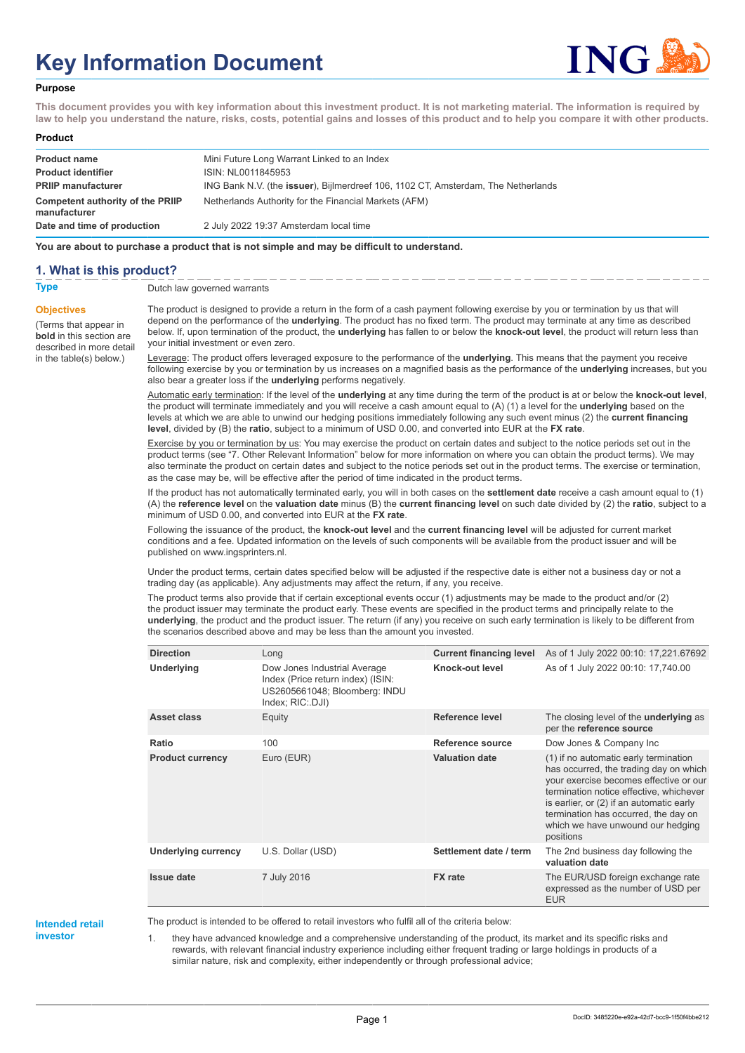# **Key Information Document**



#### **Purpose**

**This document provides you with key information about this investment product. It is not marketing material. The information is required by law to help you understand the nature, risks, costs, potential gains and losses of this product and to help you compare it with other products.**

#### **Product**

| <b>Product name</b>                              | Mini Future Long Warrant Linked to an Index                                       |
|--------------------------------------------------|-----------------------------------------------------------------------------------|
| <b>Product identifier</b>                        | ISIN: NL0011845953                                                                |
| <b>PRIIP manufacturer</b>                        | ING Bank N.V. (the issuer), Bijlmerdreef 106, 1102 CT, Amsterdam, The Netherlands |
| Competent authority of the PRIIP<br>manufacturer | Netherlands Authority for the Financial Markets (AFM)                             |
| Date and time of production                      | 2 July 2022 19:37 Amsterdam local time                                            |

**You are about to purchase a product that is not simple and may be difficult to understand.**

#### **1. What is this product?**

**Objectives**

(Terms that appear in **bold** in this section are

in the table(s) below.)

**Type** Dutch law governed warrants

described in more detail The product is designed to provide a return in the form of a cash payment following exercise by you or termination by us that will depend on the performance of the **underlying**. The product has no fixed term. The product may terminate at any time as described below. If, upon termination of the product, the **underlying** has fallen to or below the **knock-out level**, the product will return less than your initial investment or even zero.

> Leverage: The product offers leveraged exposure to the performance of the **underlying**. This means that the payment you receive following exercise by you or termination by us increases on a magnified basis as the performance of the **underlying** increases, but you also bear a greater loss if the **underlying** performs negatively.

> Automatic early termination: If the level of the **underlying** at any time during the term of the product is at or below the **knock-out level**, the product will terminate immediately and you will receive a cash amount equal to (A) (1) a level for the **underlying** based on the levels at which we are able to unwind our hedging positions immediately following any such event minus (2) the **current financing level**, divided by (B) the **ratio**, subject to a minimum of USD 0.00, and converted into EUR at the **FX rate**.

> Exercise by you or termination by us: You may exercise the product on certain dates and subject to the notice periods set out in the product terms (see "7. Other Relevant Information" below for more information on where you can obtain the product terms). We may also terminate the product on certain dates and subject to the notice periods set out in the product terms. The exercise or termination, as the case may be, will be effective after the period of time indicated in the product terms.

> If the product has not automatically terminated early, you will in both cases on the **settlement date** receive a cash amount equal to (1) (A) the **reference level** on the **valuation date** minus (B) the **current financing level** on such date divided by (2) the **ratio**, subject to a minimum of USD 0.00, and converted into EUR at the **FX rate**.

Following the issuance of the product, the **knock-out level** and the **current financing level** will be adjusted for current market conditions and a fee. Updated information on the levels of such components will be available from the product issuer and will be published on www.ingsprinters.nl.

Under the product terms, certain dates specified below will be adjusted if the respective date is either not a business day or not a trading day (as applicable). Any adjustments may affect the return, if any, you receive.

The product terms also provide that if certain exceptional events occur (1) adjustments may be made to the product and/or (2) the product issuer may terminate the product early. These events are specified in the product terms and principally relate to the **underlying**, the product and the product issuer. The return (if any) you receive on such early termination is likely to be different from the scenarios described above and may be less than the amount you invested.

| <b>Direction</b>           | Long                                                                                                                   | <b>Current financing level</b> | As of 1 July 2022 00:10: 17,221.67692                                                                                                                                                                                                                                                                      |
|----------------------------|------------------------------------------------------------------------------------------------------------------------|--------------------------------|------------------------------------------------------------------------------------------------------------------------------------------------------------------------------------------------------------------------------------------------------------------------------------------------------------|
| Underlying                 | Dow Jones Industrial Average<br>Index (Price return index) (ISIN:<br>US2605661048; Bloomberg: INDU<br>Index; RIC: DJI) | Knock-out level                | As of 1 July 2022 00:10: 17,740.00                                                                                                                                                                                                                                                                         |
| Asset class                | Equity                                                                                                                 | Reference level                | The closing level of the <b>underlying</b> as<br>per the reference source                                                                                                                                                                                                                                  |
| Ratio                      | 100                                                                                                                    | Reference source               | Dow Jones & Company Inc                                                                                                                                                                                                                                                                                    |
| <b>Product currency</b>    | Euro (EUR)                                                                                                             | <b>Valuation date</b>          | (1) if no automatic early termination<br>has occurred, the trading day on which<br>your exercise becomes effective or our<br>termination notice effective, whichever<br>is earlier, or (2) if an automatic early<br>termination has occurred, the day on<br>which we have unwound our hedging<br>positions |
| <b>Underlying currency</b> | U.S. Dollar (USD)                                                                                                      | Settlement date / term         | The 2nd business day following the<br>valuation date                                                                                                                                                                                                                                                       |
| <b>Issue date</b>          | 7 July 2016                                                                                                            | <b>FX</b> rate                 | The EUR/USD foreign exchange rate<br>expressed as the number of USD per<br><b>EUR</b>                                                                                                                                                                                                                      |

**Intended retail investor**

The product is intended to be offered to retail investors who fulfil all of the criteria below:

they have advanced knowledge and a comprehensive understanding of the product, its market and its specific risks and rewards, with relevant financial industry experience including either frequent trading or large holdings in products of a similar nature, risk and complexity, either independently or through professional advice;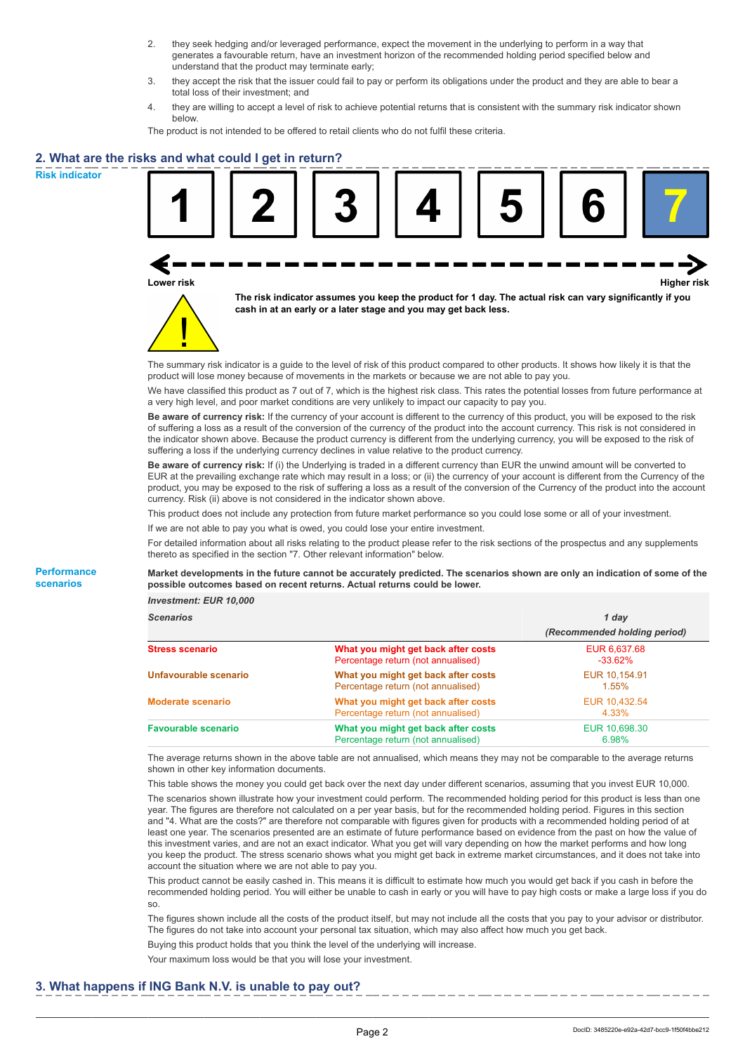- 2. they seek hedging and/or leveraged performance, expect the movement in the underlying to perform in a way that generates a favourable return, have an investment horizon of the recommended holding period specified below and understand that the product may terminate early;
- 3. they accept the risk that the issuer could fail to pay or perform its obligations under the product and they are able to bear a total loss of their investment; and
- 4. they are willing to accept a level of risk to achieve potential returns that is consistent with the summary risk indicator shown below.

The product is not intended to be offered to retail clients who do not fulfil these criteria.

## **2. What are the risks and what could I get in return?**

**Risk indicator**

**Performance scenarios**





**The risk indicator assumes you keep the product for 1 day. The actual risk can vary significantly if you cash in at an early or a later stage and you may get back less.**

The summary risk indicator is a guide to the level of risk of this product compared to other products. It shows how likely it is that the product will lose money because of movements in the markets or because we are not able to pay you.

We have classified this product as 7 out of 7, which is the highest risk class. This rates the potential losses from future performance at a very high level, and poor market conditions are very unlikely to impact our capacity to pay you.

**Be aware of currency risk:** If the currency of your account is different to the currency of this product, you will be exposed to the risk of suffering a loss as a result of the conversion of the currency of the product into the account currency. This risk is not considered in the indicator shown above. Because the product currency is different from the underlying currency, you will be exposed to the risk of suffering a loss if the underlying currency declines in value relative to the product currency.

**Be aware of currency risk:** If (i) the Underlying is traded in a different currency than EUR the unwind amount will be converted to EUR at the prevailing exchange rate which may result in a loss; or (ii) the currency of your account is different from the Currency of the product, you may be exposed to the risk of suffering a loss as a result of the conversion of the Currency of the product into the account currency. Risk (ii) above is not considered in the indicator shown above.

This product does not include any protection from future market performance so you could lose some or all of your investment.

If we are not able to pay you what is owed, you could lose your entire investment.

For detailed information about all risks relating to the product please refer to the risk sections of the prospectus and any supplements thereto as specified in the section "7. Other relevant information" below.

**Market developments in the future cannot be accurately predicted. The scenarios shown are only an indication of some of the possible outcomes based on recent returns. Actual returns could be lower.**

*Investment: EUR 10,000*

| <b>Scenarios</b>           |                                                                           | 1 day                        |  |
|----------------------------|---------------------------------------------------------------------------|------------------------------|--|
|                            |                                                                           | (Recommended holding period) |  |
| Stress scenario            | What you might get back after costs<br>Percentage return (not annualised) | EUR 6,637.68<br>$-33.62\%$   |  |
| Unfavourable scenario      | What you might get back after costs<br>Percentage return (not annualised) | EUR 10.154.91<br>$1.55\%$    |  |
| <b>Moderate scenario</b>   | What you might get back after costs<br>Percentage return (not annualised) | EUR 10.432.54<br>4.33%       |  |
| <b>Favourable scenario</b> | What you might get back after costs<br>Percentage return (not annualised) | EUR 10,698.30<br>6.98%       |  |

The average returns shown in the above table are not annualised, which means they may not be comparable to the average returns shown in other key information documents.

This table shows the money you could get back over the next day under different scenarios, assuming that you invest EUR 10,000. The scenarios shown illustrate how your investment could perform. The recommended holding period for this product is less than one year. The figures are therefore not calculated on a per year basis, but for the recommended holding period. Figures in this section and "4. What are the costs?" are therefore not comparable with figures given for products with a recommended holding period of at least one year. The scenarios presented are an estimate of future performance based on evidence from the past on how the value of this investment varies, and are not an exact indicator. What you get will vary depending on how the market performs and how long you keep the product. The stress scenario shows what you might get back in extreme market circumstances, and it does not take into account the situation where we are not able to pay you.

This product cannot be easily cashed in. This means it is difficult to estimate how much you would get back if you cash in before the recommended holding period. You will either be unable to cash in early or you will have to pay high costs or make a large loss if you do so.

The figures shown include all the costs of the product itself, but may not include all the costs that you pay to your advisor or distributor. The figures do not take into account your personal tax situation, which may also affect how much you get back.

Buying this product holds that you think the level of the underlying will increase.

Your maximum loss would be that you will lose your investment.

### **3. What happens if ING Bank N.V. is unable to pay out?**

DocID: 3485220e-e92a-42d7-bcc9-1f50f4bbe212